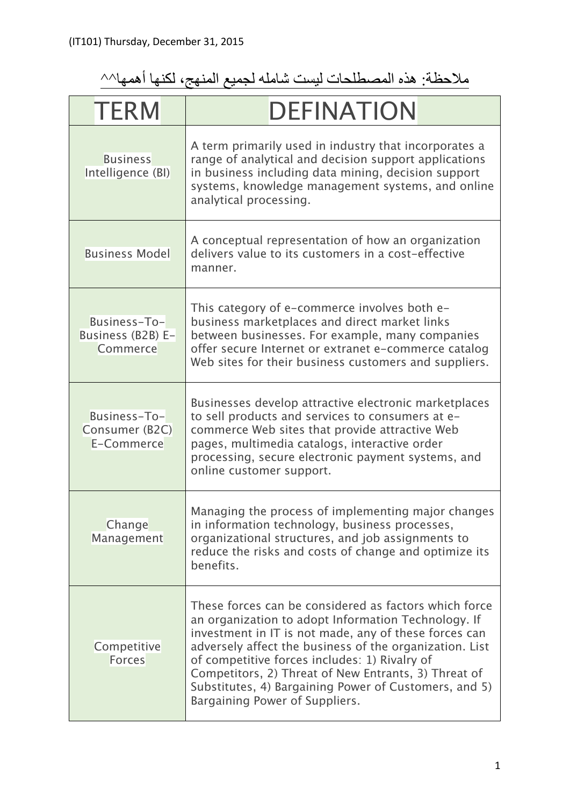## ملاحظة: ھذه المصطلحات لیست شاملھ لجمیع المنھج، لكنھا أھمھا^^

| <b>TERM</b>                                   | <b>DEFINATION</b>                                                                                                                                                                                                                                                                                                                                                                                                                    |
|-----------------------------------------------|--------------------------------------------------------------------------------------------------------------------------------------------------------------------------------------------------------------------------------------------------------------------------------------------------------------------------------------------------------------------------------------------------------------------------------------|
| <b>Business</b><br>Intelligence (BI)          | A term primarily used in industry that incorporates a<br>range of analytical and decision support applications<br>in business including data mining, decision support<br>systems, knowledge management systems, and online<br>analytical processing.                                                                                                                                                                                 |
| <b>Business Model</b>                         | A conceptual representation of how an organization<br>delivers value to its customers in a cost-effective<br>manner.                                                                                                                                                                                                                                                                                                                 |
| Business-To-<br>Business (B2B) E-<br>Commerce | This category of e-commerce involves both e-<br>business marketplaces and direct market links<br>between businesses. For example, many companies<br>offer secure Internet or extranet e-commerce catalog<br>Web sites for their business customers and suppliers.                                                                                                                                                                    |
| Business-To-<br>Consumer (B2C)<br>E-Commerce  | Businesses develop attractive electronic marketplaces<br>to sell products and services to consumers at e-<br>commerce Web sites that provide attractive Web<br>pages, multimedia catalogs, interactive order<br>processing, secure electronic payment systems, and<br>online customer support.                                                                                                                                       |
| Change<br>Management                          | Managing the process of implementing major changes<br>in information technology, business processes,<br>organizational structures, and job assignments to<br>reduce the risks and costs of change and optimize its<br>benefits.                                                                                                                                                                                                      |
| Competitive<br><b>Forces</b>                  | These forces can be considered as factors which force<br>an organization to adopt Information Technology. If<br>investment in IT is not made, any of these forces can<br>adversely affect the business of the organization. List<br>of competitive forces includes: 1) Rivalry of<br>Competitors, 2) Threat of New Entrants, 3) Threat of<br>Substitutes, 4) Bargaining Power of Customers, and 5)<br>Bargaining Power of Suppliers. |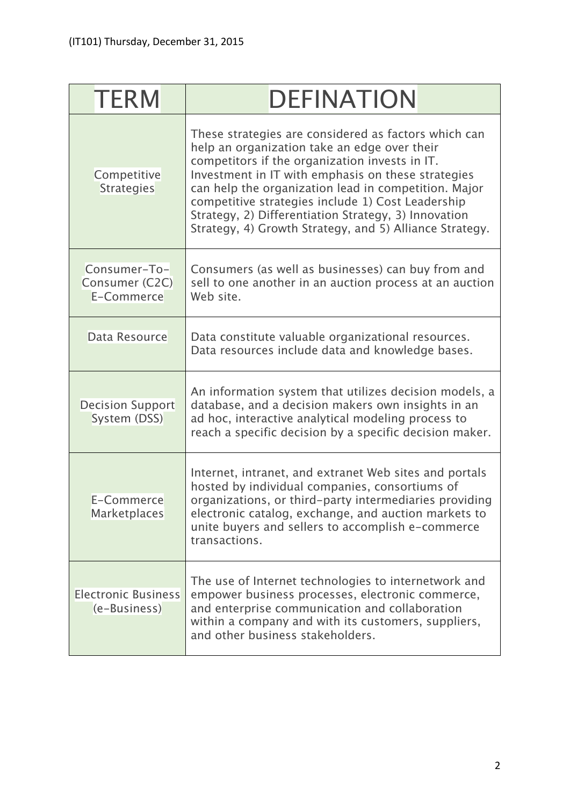| <b>TERM</b>                                  | <b>DEFINATION</b>                                                                                                                                                                                                                                                                                                                                                                                                                            |
|----------------------------------------------|----------------------------------------------------------------------------------------------------------------------------------------------------------------------------------------------------------------------------------------------------------------------------------------------------------------------------------------------------------------------------------------------------------------------------------------------|
| Competitive<br><b>Strategies</b>             | These strategies are considered as factors which can<br>help an organization take an edge over their<br>competitors if the organization invests in IT.<br>Investment in IT with emphasis on these strategies<br>can help the organization lead in competition. Major<br>competitive strategies include 1) Cost Leadership<br>Strategy, 2) Differentiation Strategy, 3) Innovation<br>Strategy, 4) Growth Strategy, and 5) Alliance Strategy. |
| Consumer-To-<br>Consumer (C2C)<br>E-Commerce | Consumers (as well as businesses) can buy from and<br>sell to one another in an auction process at an auction<br>Web site.                                                                                                                                                                                                                                                                                                                   |
| Data Resource                                | Data constitute valuable organizational resources.<br>Data resources include data and knowledge bases.                                                                                                                                                                                                                                                                                                                                       |
| <b>Decision Support</b><br>System (DSS)      | An information system that utilizes decision models, a<br>database, and a decision makers own insights in an<br>ad hoc, interactive analytical modeling process to<br>reach a specific decision by a specific decision maker.                                                                                                                                                                                                                |
| E-Commerce<br>Marketplaces                   | Internet, intranet, and extranet Web sites and portals<br>hosted by individual companies, consortiums of<br>organizations, or third-party intermediaries providing<br>electronic catalog, exchange, and auction markets to<br>unite buyers and sellers to accomplish e-commerce<br>transactions.                                                                                                                                             |
| <b>Electronic Business</b><br>(e-Business)   | The use of Internet technologies to internetwork and<br>empower business processes, electronic commerce,<br>and enterprise communication and collaboration<br>within a company and with its customers, suppliers,<br>and other business stakeholders.                                                                                                                                                                                        |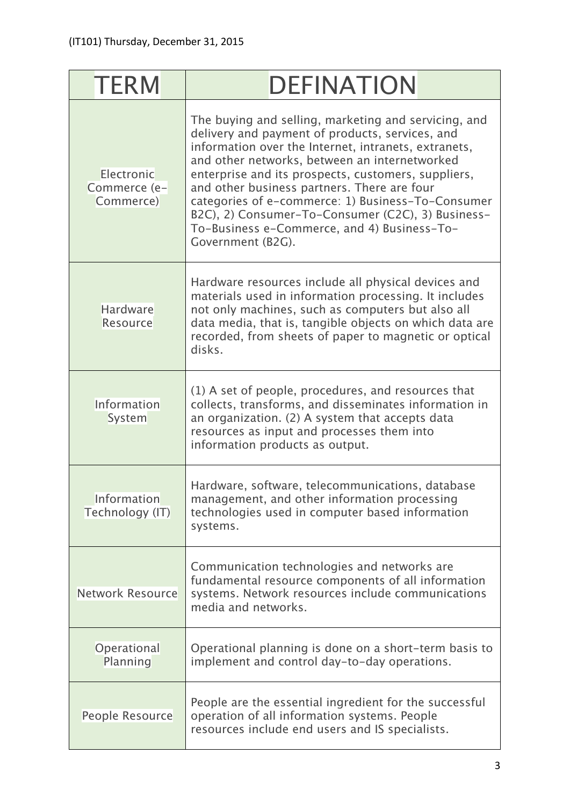| <b>TERM</b>                             | <b>DEFINATION</b>                                                                                                                                                                                                                                                                                                                                                                                                                                                                                    |
|-----------------------------------------|------------------------------------------------------------------------------------------------------------------------------------------------------------------------------------------------------------------------------------------------------------------------------------------------------------------------------------------------------------------------------------------------------------------------------------------------------------------------------------------------------|
| Electronic<br>Commerce (e-<br>Commerce) | The buying and selling, marketing and servicing, and<br>delivery and payment of products, services, and<br>information over the Internet, intranets, extranets,<br>and other networks, between an internetworked<br>enterprise and its prospects, customers, suppliers,<br>and other business partners. There are four<br>categories of e-commerce: 1) Business-To-Consumer<br>B2C), 2) Consumer-To-Consumer (C2C), 3) Business-<br>To-Business e-Commerce, and 4) Business-To-<br>Government (B2G). |
| <b>Hardware</b><br><b>Resource</b>      | Hardware resources include all physical devices and<br>materials used in information processing. It includes<br>not only machines, such as computers but also all<br>data media, that is, tangible objects on which data are<br>recorded, from sheets of paper to magnetic or optical<br>disks.                                                                                                                                                                                                      |
| Information<br>System                   | (1) A set of people, procedures, and resources that<br>collects, transforms, and disseminates information in<br>an organization. (2) A system that accepts data<br>resources as input and processes them into<br>information products as output.                                                                                                                                                                                                                                                     |
| Information<br>Technology (IT)          | Hardware, software, telecommunications, database<br>management, and other information processing<br>technologies used in computer based information<br>systems.                                                                                                                                                                                                                                                                                                                                      |
| <b>Network Resource</b>                 | Communication technologies and networks are<br>fundamental resource components of all information<br>systems. Network resources include communications<br>media and networks.                                                                                                                                                                                                                                                                                                                        |
| Operational<br>Planning                 | Operational planning is done on a short-term basis to<br>implement and control day-to-day operations.                                                                                                                                                                                                                                                                                                                                                                                                |
| People Resource                         | People are the essential ingredient for the successful<br>operation of all information systems. People<br>resources include end users and IS specialists.                                                                                                                                                                                                                                                                                                                                            |